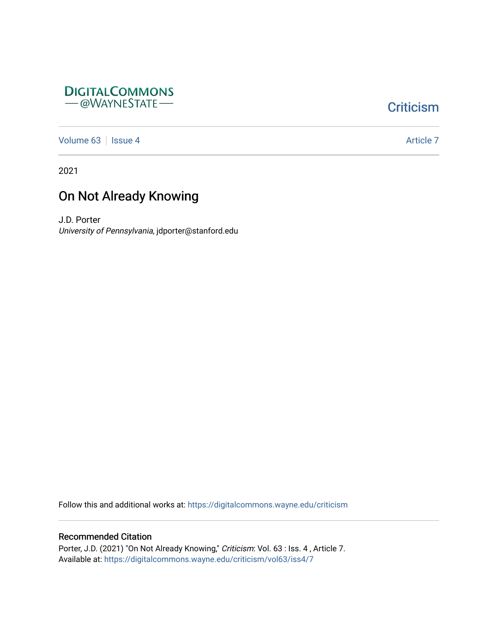

## **Criticism**

[Volume 63](https://digitalcommons.wayne.edu/criticism/vol63) | [Issue 4](https://digitalcommons.wayne.edu/criticism/vol63/iss4) Article 7

2021

## On Not Already Knowing

J.D. Porter University of Pennsylvania, jdporter@stanford.edu

Follow this and additional works at: [https://digitalcommons.wayne.edu/criticism](https://digitalcommons.wayne.edu/criticism?utm_source=digitalcommons.wayne.edu%2Fcriticism%2Fvol63%2Fiss4%2F7&utm_medium=PDF&utm_campaign=PDFCoverPages) 

## Recommended Citation

Porter, J.D. (2021) "On Not Already Knowing," Criticism: Vol. 63 : Iss. 4, Article 7. Available at: [https://digitalcommons.wayne.edu/criticism/vol63/iss4/7](https://digitalcommons.wayne.edu/criticism/vol63/iss4/7?utm_source=digitalcommons.wayne.edu%2Fcriticism%2Fvol63%2Fiss4%2F7&utm_medium=PDF&utm_campaign=PDFCoverPages)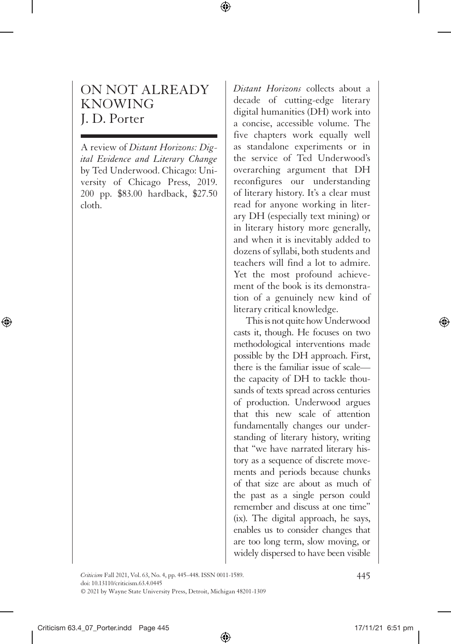## ON NOT ALREADY KNOWING J. D. Porter

A review of *Distant Horizons: Digital Evidence and Literary Change* by Ted Underwood. Chicago: University of Chicago Press, 2019. 200 pp. \$83.00 hardback, \$27.50 cloth.

*Distant Horizons* collects about a decade of cutting-edge literary digital humanities (DH) work into a concise, accessible volume. The five chapters work equally well as standalone experiments or in the service of Ted Underwood's overarching argument that DH reconfigures our understanding of literary history. It's a clear must read for anyone working in literary DH (especially text mining) or in literary history more generally, and when it is inevitably added to dozens of syllabi, both students and teachers will find a lot to admire. Yet the most profound achievement of the book is its demonstration of a genuinely new kind of literary critical knowledge.

This is not quite how Underwood casts it, though. He focuses on two methodological interventions made possible by the DH approach. First, there is the familiar issue of scale the capacity of DH to tackle thousands of texts spread across centuries of production. Underwood argues that this new scale of attention fundamentally changes our understanding of literary history, writing that "we have narrated literary history as a sequence of discrete movements and periods because chunks of that size are about as much of the past as a single person could remember and discuss at one time" (ix). The digital approach, he says, enables us to consider changes that are too long term, slow moving, or widely dispersed to have been visible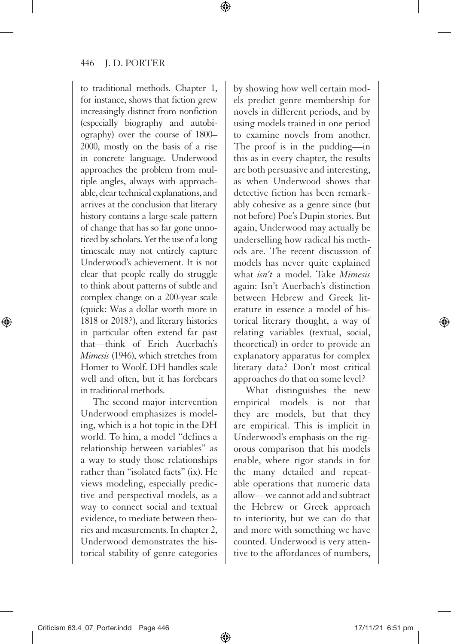to traditional methods. Chapter 1, for instance, shows that fiction grew increasingly distinct from nonfiction (especially biography and autobiography) over the course of 1800– 2000, mostly on the basis of a rise in concrete language. Underwood approaches the problem from multiple angles, always with approachable, clear technical explanations, and arrives at the conclusion that literary history contains a large-scale pattern of change that has so far gone unnoticed by scholars. Yet the use of a long timescale may not entirely capture Underwood's achievement. It is not clear that people really do struggle to think about patterns of subtle and complex change on a 200-year scale (quick: Was a dollar worth more in 1818 or 2018?), and literary histories in particular often extend far past that—think of Erich Auerbach's *Mimesis* (1946), which stretches from Homer to Woolf. DH handles scale well and often, but it has forebears in traditional methods.

The second major intervention Underwood emphasizes is modeling, which is a hot topic in the DH world. To him, a model "defines a relationship between variables" as a way to study those relationships rather than "isolated facts" (ix). He views modeling, especially predictive and perspectival models, as a way to connect social and textual evidence, to mediate between theories and measurements. In chapter 2, Underwood demonstrates the historical stability of genre categories

by showing how well certain models predict genre membership for novels in different periods, and by using models trained in one period to examine novels from another. The proof is in the pudding—in this as in every chapter, the results are both persuasive and interesting, as when Underwood shows that detective fiction has been remarkably cohesive as a genre since (but not before) Poe's Dupin stories. But again, Underwood may actually be underselling how radical his methods are. The recent discussion of models has never quite explained what *isn't* a model. Take *Mimesis* again: Isn't Auerbach's distinction between Hebrew and Greek literature in essence a model of historical literary thought, a way of relating variables (textual, social, theoretical) in order to provide an explanatory apparatus for complex literary data? Don't most critical approaches do that on some level?

What distinguishes the new empirical models is not that they are models, but that they are empirical. This is implicit in Underwood's emphasis on the rigorous comparison that his models enable, where rigor stands in for the many detailed and repeatable operations that numeric data allow—we cannot add and subtract the Hebrew or Greek approach to interiority, but we can do that and more with something we have counted. Underwood is very attentive to the affordances of numbers,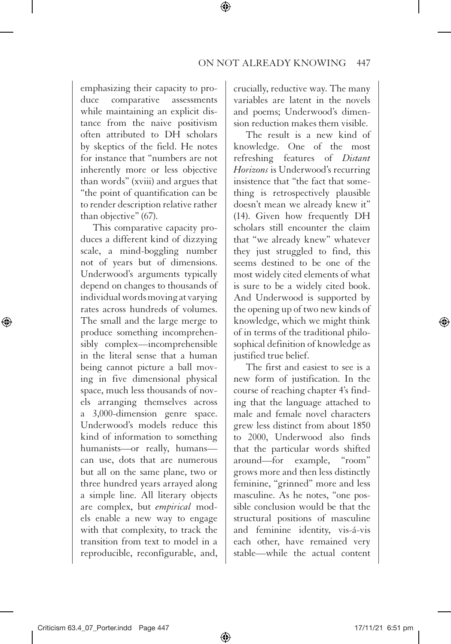emphasizing their capacity to produce comparative assessments while maintaining an explicit distance from the naive positivism often attributed to DH scholars by skeptics of the field. He notes for instance that "numbers are not inherently more or less objective than words" (xviii) and argues that "the point of quantification can be to render description relative rather than objective" (67).

This comparative capacity produces a different kind of dizzying scale, a mind-boggling number not of years but of dimensions. Underwood's arguments typically depend on changes to thousands of individual words moving at varying rates across hundreds of volumes. The small and the large merge to produce something incomprehensibly complex—incomprehensible in the literal sense that a human being cannot picture a ball moving in five dimensional physical space, much less thousands of novels arranging themselves across a 3,000-dimension genre space. Underwood's models reduce this kind of information to something humanists—or really, humans can use, dots that are numerous but all on the same plane, two or three hundred years arrayed along a simple line. All literary objects are complex, but *empirical* models enable a new way to engage with that complexity, to track the transition from text to model in a reproducible, reconfigurable, and,

crucially, reductive way. The many variables are latent in the novels and poems; Underwood's dimension reduction makes them visible.

The result is a new kind of knowledge. One of the most refreshing features of *Distant Horizons* is Underwood's recurring insistence that "the fact that something is retrospectively plausible doesn't mean we already knew it" (14). Given how frequently DH scholars still encounter the claim that "we already knew" whatever they just struggled to find, this seems destined to be one of the most widely cited elements of what is sure to be a widely cited book. And Underwood is supported by the opening up of two new kinds of knowledge, which we might think of in terms of the traditional philosophical definition of knowledge as justified true belief.

The first and easiest to see is a new form of justification. In the course of reaching chapter 4's finding that the language attached to male and female novel characters grew less distinct from about 1850 to 2000, Underwood also finds that the particular words shifted around—for example, "room" grows more and then less distinctly feminine, "grinned" more and less masculine. As he notes, "one possible conclusion would be that the structural positions of masculine and feminine identity, vis-á-vis each other, have remained very stable—while the actual content